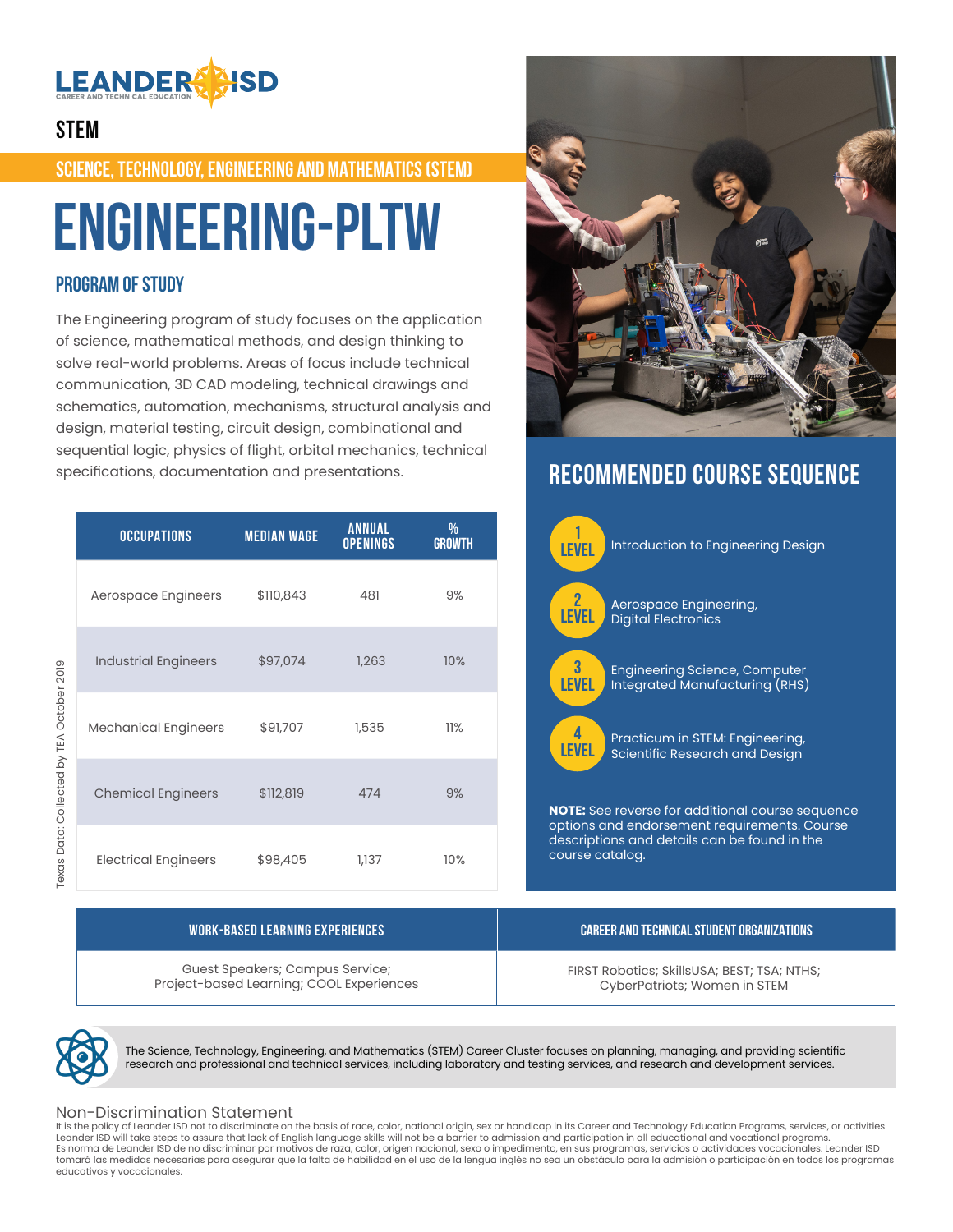

## **STEM**

**SCIENCE, TECHNOLOGY, ENGINEERING AND MATHEMATICS (STEM)**

# **Engineering-PLTW**

## **PROGRAM OF STUDY**

The Engineering program of study focuses on the application of science, mathematical methods, and design thinking to solve real-world problems. Areas of focus include technical communication, 3D CAD modeling, technical drawings and schematics, automation, mechanisms, structural analysis and design, material testing, circuit design, combinational and sequential logic, physics of flight, orbital mechanics, technical specifications, documentation and presentations.

|                                       | <b>OCCUPATIONS</b>          | <b>MEDIAN WAGE</b> | <b>ANNUAL</b><br><b>OPENINGS</b> | %<br><b>GROWTH</b> |
|---------------------------------------|-----------------------------|--------------------|----------------------------------|--------------------|
| DANO DONO VEL AJ JENIJOJ JENIJOJ ZUNO | Aerospace Engineers         | \$110,843          | 481                              | 9%                 |
|                                       | <b>Industrial Engineers</b> | \$97,074           | 1,263                            | 10%                |
|                                       | <b>Mechanical Engineers</b> | \$91,707           | 1,535                            | 11%                |
|                                       | <b>Chemical Engineers</b>   | \$112,819          | 474                              | 9%                 |
|                                       | <b>Electrical Engineers</b> | \$98,405           | 1,137                            | 10%                |

Guest Speakers; Campus Service; Project-based Learning; COOL Experiences



# **RECOMMENDED COURSE SEQUENCE**



FIRST Robotics; SkillsUSA; BEST; TSA; NTHS; CyberPatriots; Women in STEM



The Science, Technology, Engineering, and Mathematics (STEM) Career Cluster focuses on planning, managing, and providing scientific research and professional and technical services, including laboratory and testing services, and research and development services.

### Non-Discrimination Statement

It is the policy of Leander ISD not to discriminate on the basis of race, color, national origin, sex or handicap in its Career and Technology Education Programs, services, or activities. Leander ISD will take steps to assure that lack of English language skills will not be a barrier to admission and participation in all educational and vocational programs. Es norma de Leander ISD de no discriminar por motivos de raza, color, origen nacional, sexo o impedimento, en sus programas, servicios o actividades vocacionales. Leander ISD tomará las medidas necesarias para asegurar que la falta de habilidad en el uso de la lengua inglés no sea un obstáculo para la admisión o participación en todos los programas educativos y vocacionales.